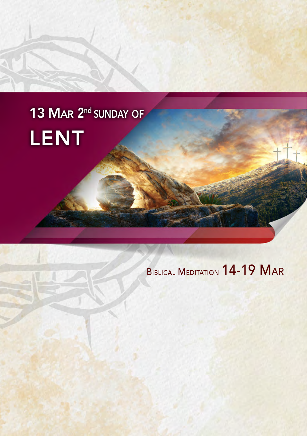# 13 MAR 2<sup>nd</sup> SUNDAY OF LENT

# Biblical Meditation 14-19 Mar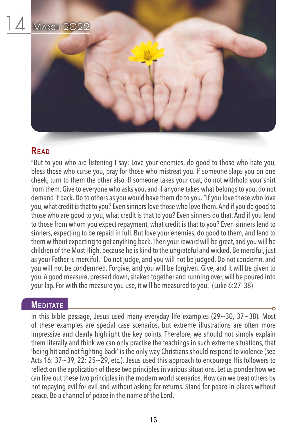

"But to you who are listening I say: Love your enemies, do good to those who hate you, bless those who curse you, pray for those who mistreat you. If someone slaps you on one cheek, turn to them the other also. If someone takes your coat, do not withhold your shirt from them. Give to everyone who asks you, and if anyone takes what belongs to you, do not demand it back. Do to others as you would have them do to you. "If you love those who love you, what credit is that to you? Even sinners love those who love them. And if you do good to those who are good to you, what credit is that to you? Even sinners do that. And if you lend to those from whom you expect repayment, what credit is that to you? Even sinners lend to sinners, expecting to be repaid in full. But love your enemies, do good to them, and lend to them without expecting to get anything back. Then your reward will be great, and you will be children of the Most High, because he is kind to the ungrateful and wicked. Be merciful, just as your Father is merciful. "Do not judge, and you will not be judged. Do not condemn, and you will not be condemned. Forgive, and you will be forgiven. Give, and it will be given to you. A good measure, pressed down, shaken together and running over, will be poured into your lap. For with the measure you use, it will be measured to you." (Luke 6:27–38)

#### **MEDITATE**

In this bible passage, Jesus used many everyday life examples (29 $\sim$ 30, 37 $\sim$ 38). Most of these examples are special case scenarios, but extreme illustrations are often more impressive and clearly highlight the key points. Therefore, we should not simply explain them literally and think we can only practise the teachings in such extreme situations, that 'being hit and not fighting back' is the only way Christians should respond to violence (see Acts 16: 37~39, 22: 25~29, etc.). Jesus used this approach to encourage His followers to reflect on the application of these two principles in various situations. Let us ponder how we can live out these two principles in the modern world scenarios. How can we treat others by not repaying evil for evil and without asking for returns. Stand for peace in places without peace. Be a channel of peace in the name of the Lord.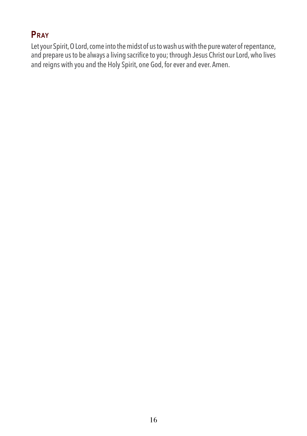# **Pray**

Let your Spirit, O Lord, come into the midst of us to wash us with the pure water of repentance, and prepare us to be always a living sacrifice to you; through Jesus Christ our Lord, who lives and reigns with you and the Holy Spirit, one God, for ever and ever. Amen.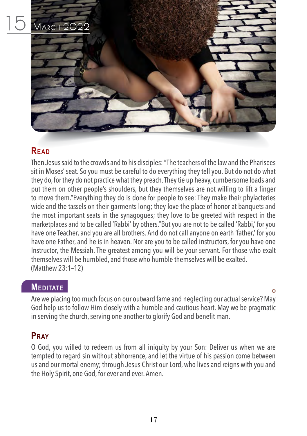

Then Jesus said to the crowds and to his disciples: "The teachers of the law and the Pharisees sit in Moses' seat. So you must be careful to do everything they tell you. But do not do what they do, for they do not practice what they preach. They tie up heavy, cumbersome loads and put them on other people's shoulders, but they themselves are not willing to lift a finger to move them."Everything they do is done for people to see: They make their phylacteries wide and the tassels on their garments long; they love the place of honor at banquets and the most important seats in the synagogues; they love to be greeted with respect in the marketplaces and to be called 'Rabbi' by others."But you are not to be called 'Rabbi,' for you have one Teacher, and you are all brothers. And do not call anyone on earth 'father,' for you have one Father, and he is in heaven. Nor are you to be called instructors, for you have one Instructor, the Messiah. The greatest among you will be your servant. For those who exalt themselves will be humbled, and those who humble themselves will be exalted. (Matthew 23:1–12)

#### **MEDITATE**

Are we placing too much focus on our outward fame and neglecting our actual service? May God help us to follow Him closely with a humble and cautious heart. May we be pragmatic in serving the church, serving one another to glorify God and benefit man.

# **Pray**

O God, you willed to redeem us from all iniquity by your Son: Deliver us when we are tempted to regard sin without abhorrence, and let the virtue of his passion come between us and our mortal enemy; through Jesus Christ our Lord, who lives and reigns with you and the Holy Spirit, one God, for ever and ever. Amen.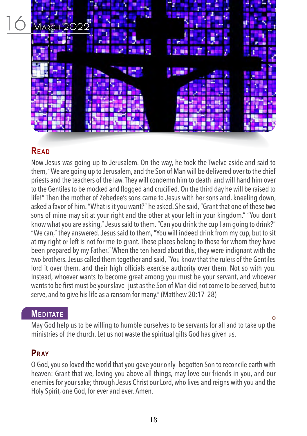

Now Jesus was going up to Jerusalem. On the way, he took the Twelve aside and said to them, "We are going up to Jerusalem, and the Son of Man will be delivered over to the chief priests and the teachers of the law. They will condemn him to death and will hand him over to the Gentiles to be mocked and flogged and crucified. On the third day he will be raised to life!" Then the mother of Zebedee's sons came to Jesus with her sons and, kneeling down, asked a favor of him. "What is it you want?" he asked. She said, "Grant that one of these two sons of mine may sit at your right and the other at your left in your kingdom." "You don't know what you are asking," Jesus said to them. "Can you drink the cup I am going to drink?" "We can," they answered. Jesus said to them, "You will indeed drink from my cup, but to sit at my right or left is not for me to grant. These places belong to those for whom they have been prepared by my Father." When the ten heard about this, they were indignant with the two brothers. Jesus called them together and said, "You know that the rulers of the Gentiles lord it over them, and their high officials exercise authority over them. Not so with you. Instead, whoever wants to become great among you must be your servant, and whoever wants to be first must be your slave—just as the Son of Man did not come to be served, but to serve, and to give his life as a ransom for many." (Matthew 20:17–28)

#### **MEDITATE**

May God help us to be willing to humble ourselves to be servants for all and to take up the ministries of the church. Let us not waste the spiritual gifts God has given us.

# **Pray**

O God, you so loved the world that you gave your only- begotten Son to reconcile earth with heaven: Grant that we, loving you above all things, may love our friends in you, and our enemies for your sake; through Jesus Christ our Lord, who lives and reigns with you and the Holy Spirit, one God, for ever and ever. Amen.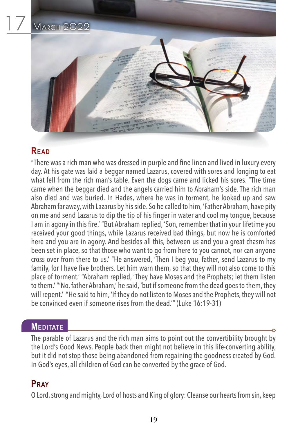

"There was a rich man who was dressed in purple and fine linen and lived in luxury every day. At his gate was laid a beggar named Lazarus, covered with sores and longing to eat what fell from the rich man's table. Even the dogs came and licked his sores. "The time came when the beggar died and the angels carried him to Abraham's side. The rich man also died and was buried. In Hades, where he was in torment, he looked up and saw Abraham far away, with Lazarus by his side. So he called to him, 'Father Abraham, have pity on me and send Lazarus to dip the tip of his finger in water and cool my tongue, because I am in agony in this fire.' "But Abraham replied, 'Son, remember that in your lifetime you received your good things, while Lazarus received bad things, but now he is comforted here and you are in agony. And besides all this, between us and you a great chasm has been set in place, so that those who want to go from here to you cannot, nor can anyone cross over from there to us.' "He answered, 'Then I beg you, father, send Lazarus to my family, for I have five brothers. Let him warn them, so that they will not also come to this place of torment.' "Abraham replied, 'They have Moses and the Prophets; let them listen to them.' "'No, father Abraham,' he said, 'but if someone from the dead goes to them, they will repent.' "He said to him, 'If they do not listen to Moses and the Prophets, they will not be convinced even if someone rises from the dead.'" (Luke 16:19-31)

#### **MEDITATE**

The parable of Lazarus and the rich man aims to point out the convertibility brought by the Lord's Good News. People back then might not believe in this life-converting ability, but it did not stop those being abandoned from regaining the goodness created by God. In God's eyes, all children of God can be converted by the grace of God.

#### **Pray**

O Lord, strong and mighty, Lord of hosts and King of glory: Cleanse our hearts from sin, keep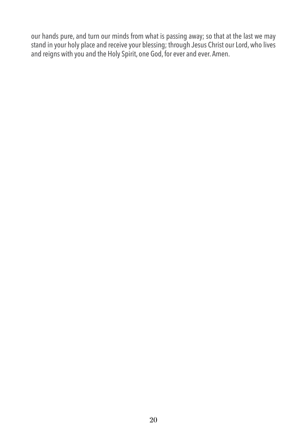our hands pure, and turn our minds from what is passing away; so that at the last we may stand in your holy place and receive your blessing; through Jesus Christ our Lord, who lives and reigns with you and the Holy Spirit, one God, for ever and ever. Amen.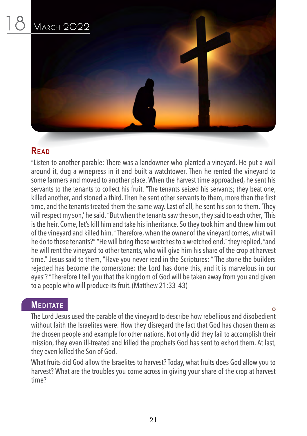

"Listen to another parable: There was a landowner who planted a vineyard. He put a wall around it, dug a winepress in it and built a watchtower. Then he rented the vineyard to some farmers and moved to another place. When the harvest time approached, he sent his servants to the tenants to collect his fruit. "The tenants seized his servants; they beat one, killed another, and stoned a third. Then he sent other servants to them, more than the first time, and the tenants treated them the same way. Last of all, he sent his son to them. 'They will respect my son,' he said. "But when the tenants saw the son, they said to each other, 'This is the heir. Come, let's kill him and take his inheritance. So they took him and threw him out of the vineyard and killed him. "Therefore, when the owner of the vineyard comes, what will he do to those tenants?" "He will bring those wretches to a wretched end," they replied, "and he will rent the vineyard to other tenants, who will give him his share of the crop at harvest time." Jesus said to them, "Have you never read in the Scriptures: "'The stone the builders rejected has become the cornerstone; the Lord has done this, and it is marvelous in our eyes'? "Therefore I tell you that the kingdom of God will be taken away from you and given to a people who will produce its fruit. (Matthew 21:33–43)

#### **MEDITATE**

The Lord Jesus used the parable of the vineyard to describe how rebellious and disobedient without faith the Israelites were. How they disregard the fact that God has chosen them as the chosen people and example for other nations. Not only did they fail to accomplish their mission, they even ill-treated and killed the prophets God has sent to exhort them. At last, they even killed the Son of God.

What fruits did God allow the Israelites to harvest? Today, what fruits does God allow you to harvest? What are the troubles you come across in giving your share of the crop at harvest time?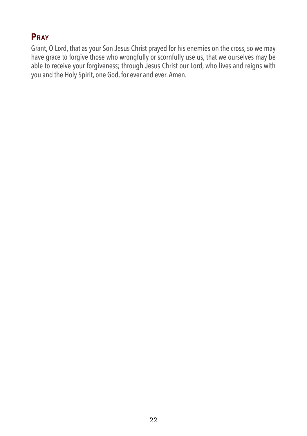# **Pray**

Grant, O Lord, that as your Son Jesus Christ prayed for his enemies on the cross, so we may have grace to forgive those who wrongfully or scornfully use us, that we ourselves may be able to receive your forgiveness; through Jesus Christ our Lord, who lives and reigns with you and the Holy Spirit, one God, for ever and ever. Amen.